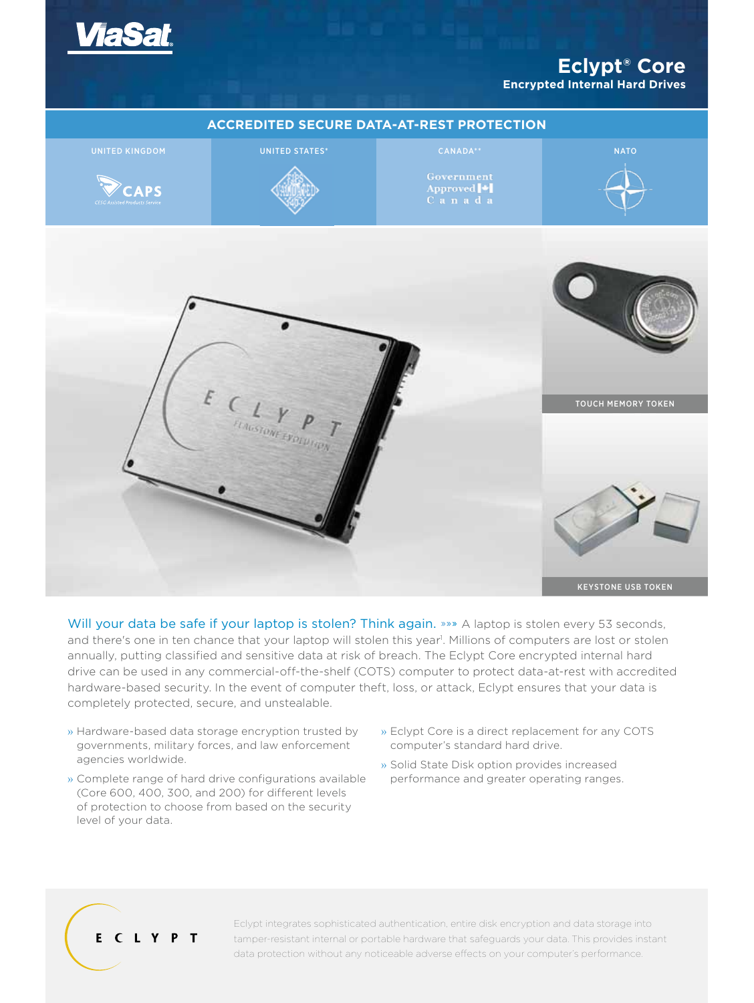



Will your data be safe if your laptop is stolen? Think again. » » A laptop is stolen every 53 seconds, and there's one in ten chance that your laptop will stolen this year<sup>1</sup>. Millions of computers are lost or stolen annually, putting classified and sensitive data at risk of breach. The Eclypt Core encrypted internal hard drive can be used in any commercial-off-the-shelf (COTS) computer to protect data-at-rest with accredited hardware-based security. In the event of computer theft, loss, or attack, Eclypt ensures that your data is completely protected, secure, and unstealable.

- » Hardware-based data storage encryption trusted by governments, military forces, and law enforcement agencies worldwide.
- » Complete range of hard drive configurations available (Core 600, 400, 300, and 200) for different levels of protection to choose from based on the security level of your data.
- » Eclypt Core is a direct replacement for any COTS computer's standard hard drive.
- » Solid State Disk option provides increased performance and greater operating ranges.

# ECLYPT

Eclypt integrates sophisticated authentication, entire disk encryption and data storage into tamper-resistant internal or portable hardware that safeguards your data. This provides instant data protection without any noticeable adverse effects on your computer's performance.